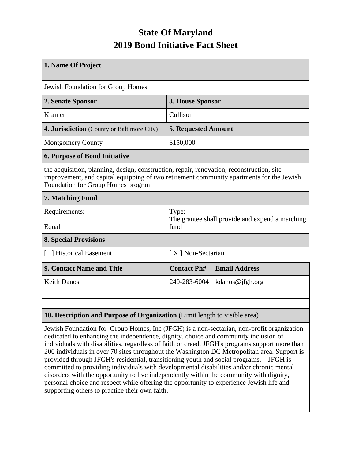## **State Of Maryland 2019 Bond Initiative Fact Sheet**

| 1. Name Of Project                                                                                                                                                                                                                 |                                                                  |                      |  |  |  |  |  |
|------------------------------------------------------------------------------------------------------------------------------------------------------------------------------------------------------------------------------------|------------------------------------------------------------------|----------------------|--|--|--|--|--|
| Jewish Foundation for Group Homes                                                                                                                                                                                                  |                                                                  |                      |  |  |  |  |  |
| 2. Senate Sponsor                                                                                                                                                                                                                  | 3. House Sponsor                                                 |                      |  |  |  |  |  |
| <b>Kramer</b>                                                                                                                                                                                                                      | Cullison                                                         |                      |  |  |  |  |  |
| <b>4. Jurisdiction</b> (County or Baltimore City)                                                                                                                                                                                  | <b>5. Requested Amount</b>                                       |                      |  |  |  |  |  |
| <b>Montgomery County</b>                                                                                                                                                                                                           | \$150,000                                                        |                      |  |  |  |  |  |
| <b>6. Purpose of Bond Initiative</b>                                                                                                                                                                                               |                                                                  |                      |  |  |  |  |  |
| the acquisition, planning, design, construction, repair, renovation, reconstruction, site<br>improvement, and capital equipping of two retirement community apartments for the Jewish<br><b>Foundation for Group Homes program</b> |                                                                  |                      |  |  |  |  |  |
| 7. Matching Fund                                                                                                                                                                                                                   |                                                                  |                      |  |  |  |  |  |
| Requirements:<br>Equal                                                                                                                                                                                                             | Type:<br>The grantee shall provide and expend a matching<br>fund |                      |  |  |  |  |  |
| <b>8. Special Provisions</b>                                                                                                                                                                                                       |                                                                  |                      |  |  |  |  |  |
| [ ] Historical Easement                                                                                                                                                                                                            |                                                                  |                      |  |  |  |  |  |
|                                                                                                                                                                                                                                    | [X] Non-Sectarian                                                |                      |  |  |  |  |  |
| <b>9. Contact Name and Title</b>                                                                                                                                                                                                   | <b>Contact Ph#</b>                                               | <b>Email Address</b> |  |  |  |  |  |
| <b>Keith Danos</b>                                                                                                                                                                                                                 | 240-283-6004                                                     | kdanos@jfgh.org      |  |  |  |  |  |
|                                                                                                                                                                                                                                    |                                                                  |                      |  |  |  |  |  |
|                                                                                                                                                                                                                                    |                                                                  |                      |  |  |  |  |  |
| 10. Description and Purpose of Organization (Limit length to visible area)                                                                                                                                                         |                                                                  |                      |  |  |  |  |  |

Jewish Foundation for Group Homes, Inc (JFGH) is a non-sectarian, non-profit organization dedicated to enhancing the independence, dignity, choice and community inclusion of individuals with disabilities, regardless of faith or creed. JFGH's programs support more than 200 individuals in over 70 sites throughout the Washington DC Metropolitan area. Support is provided through JFGH's residential, transitioning youth and social programs. JFGH is committed to providing individuals with developmental disabilities and/or chronic mental disorders with the opportunity to live independently within the community with dignity, personal choice and respect while offering the opportunity to experience Jewish life and supporting others to practice their own faith.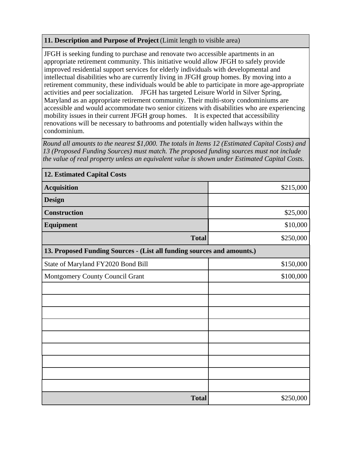## **11. Description and Purpose of Project** (Limit length to visible area)

JFGH is seeking funding to purchase and renovate two accessible apartments in an appropriate retirement community. This initiative would allow JFGH to safely provide improved residential support services for elderly individuals with developmental and intellectual disabilities who are currently living in JFGH group homes. By moving into a retirement community, these individuals would be able to participate in more age-appropriate activities and peer socialization. JFGH has targeted Leisure World in Silver Spring, Maryland as an appropriate retirement community. Their multi-story condominiums are accessible and would accommodate two senior citizens with disabilities who are experiencing mobility issues in their current JFGH group homes. It is expected that accessibility renovations will be necessary to bathrooms and potentially widen hallways within the condominium.

*Round all amounts to the nearest \$1,000. The totals in Items 12 (Estimated Capital Costs) and 13 (Proposed Funding Sources) must match. The proposed funding sources must not include the value of real property unless an equivalent value is shown under Estimated Capital Costs.*

| <b>12. Estimated Capital Costs</b>                                     |           |  |  |  |  |  |
|------------------------------------------------------------------------|-----------|--|--|--|--|--|
| <b>Acquisition</b>                                                     | \$215,000 |  |  |  |  |  |
| <b>Design</b>                                                          |           |  |  |  |  |  |
| <b>Construction</b>                                                    | \$25,000  |  |  |  |  |  |
| <b>Equipment</b>                                                       | \$10,000  |  |  |  |  |  |
| <b>Total</b>                                                           | \$250,000 |  |  |  |  |  |
| 13. Proposed Funding Sources - (List all funding sources and amounts.) |           |  |  |  |  |  |
| State of Maryland FY2020 Bond Bill                                     | \$150,000 |  |  |  |  |  |
| Montgomery County Council Grant                                        | \$100,000 |  |  |  |  |  |
|                                                                        |           |  |  |  |  |  |
|                                                                        |           |  |  |  |  |  |
|                                                                        |           |  |  |  |  |  |
|                                                                        |           |  |  |  |  |  |
|                                                                        |           |  |  |  |  |  |
|                                                                        |           |  |  |  |  |  |
|                                                                        |           |  |  |  |  |  |
|                                                                        |           |  |  |  |  |  |
|                                                                        |           |  |  |  |  |  |
| <b>Total</b>                                                           | \$250,000 |  |  |  |  |  |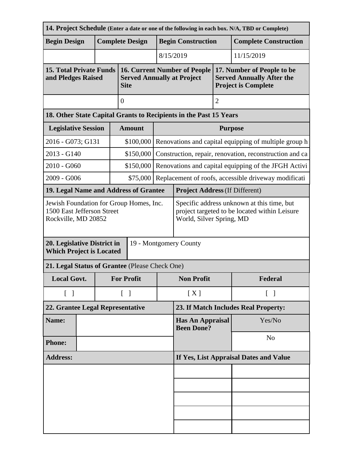| 14. Project Schedule (Enter a date or one of the following in each box. N/A, TBD or Complete) |          |                                                                                                                     |                                                                                                                         |                                                                                                                                                              |                                                                                                                                                                    |  |  |  |
|-----------------------------------------------------------------------------------------------|----------|---------------------------------------------------------------------------------------------------------------------|-------------------------------------------------------------------------------------------------------------------------|--------------------------------------------------------------------------------------------------------------------------------------------------------------|--------------------------------------------------------------------------------------------------------------------------------------------------------------------|--|--|--|
|                                                                                               |          |                                                                                                                     |                                                                                                                         |                                                                                                                                                              | <b>Complete Construction</b>                                                                                                                                       |  |  |  |
|                                                                                               |          |                                                                                                                     |                                                                                                                         |                                                                                                                                                              | 11/15/2019                                                                                                                                                         |  |  |  |
| <b>15. Total Private Funds</b><br>and Pledges Raised<br><b>Site</b>                           |          |                                                                                                                     |                                                                                                                         | 17. Number of People to be<br><b>Served Annually After the</b><br><b>Project is Complete</b>                                                                 |                                                                                                                                                                    |  |  |  |
| $\overline{0}$                                                                                |          |                                                                                                                     | $\overline{2}$                                                                                                          |                                                                                                                                                              |                                                                                                                                                                    |  |  |  |
|                                                                                               |          |                                                                                                                     |                                                                                                                         |                                                                                                                                                              |                                                                                                                                                                    |  |  |  |
|                                                                                               |          |                                                                                                                     | <b>Purpose</b>                                                                                                          |                                                                                                                                                              |                                                                                                                                                                    |  |  |  |
|                                                                                               |          |                                                                                                                     | Renovations and capital equipping of multiple group h                                                                   |                                                                                                                                                              |                                                                                                                                                                    |  |  |  |
|                                                                                               |          |                                                                                                                     | Construction, repair, renovation, reconstruction and ca                                                                 |                                                                                                                                                              |                                                                                                                                                                    |  |  |  |
|                                                                                               |          |                                                                                                                     |                                                                                                                         |                                                                                                                                                              | Renovations and capital equipping of the JFGH Activi                                                                                                               |  |  |  |
|                                                                                               | \$75,000 | Replacement of roofs, accessible driveway modificati                                                                |                                                                                                                         |                                                                                                                                                              |                                                                                                                                                                    |  |  |  |
|                                                                                               |          |                                                                                                                     |                                                                                                                         |                                                                                                                                                              |                                                                                                                                                                    |  |  |  |
| Jewish Foundation for Group Homes, Inc.<br>1500 East Jefferson Street<br>Rockville, MD 20852  |          |                                                                                                                     | Specific address unknown at this time, but<br>project targeted to be located within Leisure<br>World, Silver Spring, MD |                                                                                                                                                              |                                                                                                                                                                    |  |  |  |
| 20. Legislative District in<br>19 - Montgomery County<br><b>Which Project is Located</b>      |          |                                                                                                                     |                                                                                                                         |                                                                                                                                                              |                                                                                                                                                                    |  |  |  |
|                                                                                               |          |                                                                                                                     |                                                                                                                         |                                                                                                                                                              |                                                                                                                                                                    |  |  |  |
| <b>Local Govt.</b><br><b>For Profit</b>                                                       |          |                                                                                                                     | <b>Non Profit</b>                                                                                                       |                                                                                                                                                              | Federal                                                                                                                                                            |  |  |  |
|                                                                                               |          | [X]                                                                                                                 |                                                                                                                         |                                                                                                                                                              | $\lceil \; \rceil$                                                                                                                                                 |  |  |  |
| 22. Grantee Legal Representative                                                              |          |                                                                                                                     |                                                                                                                         | 23. If Match Includes Real Property:                                                                                                                         |                                                                                                                                                                    |  |  |  |
|                                                                                               |          |                                                                                                                     |                                                                                                                         |                                                                                                                                                              | Yes/No                                                                                                                                                             |  |  |  |
|                                                                                               |          |                                                                                                                     |                                                                                                                         |                                                                                                                                                              | N <sub>o</sub>                                                                                                                                                     |  |  |  |
|                                                                                               |          |                                                                                                                     |                                                                                                                         |                                                                                                                                                              |                                                                                                                                                                    |  |  |  |
|                                                                                               |          |                                                                                                                     |                                                                                                                         |                                                                                                                                                              | If Yes, List Appraisal Dates and Value                                                                                                                             |  |  |  |
|                                                                                               |          |                                                                                                                     |                                                                                                                         |                                                                                                                                                              |                                                                                                                                                                    |  |  |  |
|                                                                                               |          |                                                                                                                     |                                                                                                                         |                                                                                                                                                              |                                                                                                                                                                    |  |  |  |
|                                                                                               |          |                                                                                                                     |                                                                                                                         |                                                                                                                                                              |                                                                                                                                                                    |  |  |  |
|                                                                                               |          |                                                                                                                     |                                                                                                                         |                                                                                                                                                              |                                                                                                                                                                    |  |  |  |
|                                                                                               |          | <b>Complete Design</b><br><b>Amount</b><br>\$100,000<br>\$150,000<br>\$150,000<br>$\begin{bmatrix} 1 \end{bmatrix}$ | 19. Legal Name and Address of Grantee                                                                                   | 8/15/2019<br><b>16. Current Number of People</b><br><b>Served Annually at Project</b><br>21. Legal Status of Grantee (Please Check One)<br><b>Been Done?</b> | <b>Begin Construction</b><br>18. Other State Capital Grants to Recipients in the Past 15 Years<br><b>Project Address (If Different)</b><br><b>Has An Appraisal</b> |  |  |  |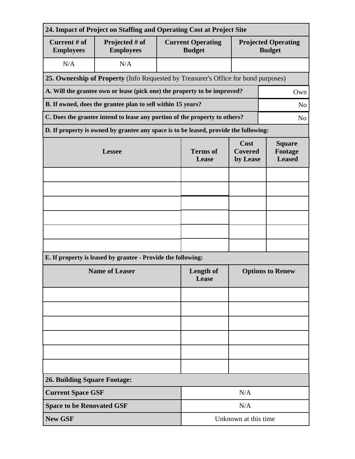| 24. Impact of Project on Staffing and Operating Cost at Project Site                         |                                                                                      |                                           |                                    |                                           |                                             |  |  |  |
|----------------------------------------------------------------------------------------------|--------------------------------------------------------------------------------------|-------------------------------------------|------------------------------------|-------------------------------------------|---------------------------------------------|--|--|--|
| Current # of<br><b>Employees</b>                                                             | Projected # of<br><b>Employees</b>                                                   | <b>Current Operating</b><br><b>Budget</b> |                                    |                                           | <b>Projected Operating</b><br><b>Budget</b> |  |  |  |
| N/A                                                                                          | N/A                                                                                  |                                           |                                    |                                           |                                             |  |  |  |
| 25. Ownership of Property (Info Requested by Treasurer's Office for bond purposes)           |                                                                                      |                                           |                                    |                                           |                                             |  |  |  |
| A. Will the grantee own or lease (pick one) the property to be improved?<br>Own              |                                                                                      |                                           |                                    |                                           |                                             |  |  |  |
| B. If owned, does the grantee plan to sell within 15 years?<br>N <sub>o</sub>                |                                                                                      |                                           |                                    |                                           |                                             |  |  |  |
| C. Does the grantee intend to lease any portion of the property to others?<br>N <sub>o</sub> |                                                                                      |                                           |                                    |                                           |                                             |  |  |  |
|                                                                                              | D. If property is owned by grantee any space is to be leased, provide the following: |                                           |                                    |                                           |                                             |  |  |  |
| <b>Lessee</b>                                                                                |                                                                                      | <b>Terms</b> of<br>Lease                  | Cost<br><b>Covered</b><br>by Lease | <b>Square</b><br>Footage<br><b>Leased</b> |                                             |  |  |  |
|                                                                                              |                                                                                      |                                           |                                    |                                           |                                             |  |  |  |
|                                                                                              |                                                                                      |                                           |                                    |                                           |                                             |  |  |  |
|                                                                                              |                                                                                      |                                           |                                    |                                           |                                             |  |  |  |
|                                                                                              |                                                                                      |                                           |                                    |                                           |                                             |  |  |  |
|                                                                                              |                                                                                      |                                           |                                    |                                           |                                             |  |  |  |
|                                                                                              |                                                                                      |                                           |                                    |                                           |                                             |  |  |  |
|                                                                                              | E. If property is leased by grantee - Provide the following:                         |                                           |                                    |                                           |                                             |  |  |  |
| <b>Name of Leaser</b>                                                                        |                                                                                      | <b>Length of</b><br>Lease                 | <b>Options to Renew</b>            |                                           |                                             |  |  |  |
|                                                                                              |                                                                                      |                                           |                                    |                                           |                                             |  |  |  |
|                                                                                              |                                                                                      |                                           |                                    |                                           |                                             |  |  |  |
|                                                                                              |                                                                                      |                                           |                                    |                                           |                                             |  |  |  |
|                                                                                              |                                                                                      |                                           |                                    |                                           |                                             |  |  |  |
|                                                                                              |                                                                                      |                                           |                                    |                                           |                                             |  |  |  |
|                                                                                              |                                                                                      |                                           |                                    |                                           |                                             |  |  |  |
| <b>26. Building Square Footage:</b>                                                          |                                                                                      |                                           |                                    |                                           |                                             |  |  |  |
| <b>Current Space GSF</b>                                                                     |                                                                                      |                                           | N/A                                |                                           |                                             |  |  |  |
| <b>Space to be Renovated GSF</b>                                                             |                                                                                      |                                           | N/A                                |                                           |                                             |  |  |  |
| <b>New GSF</b>                                                                               |                                                                                      |                                           | Unknown at this time               |                                           |                                             |  |  |  |